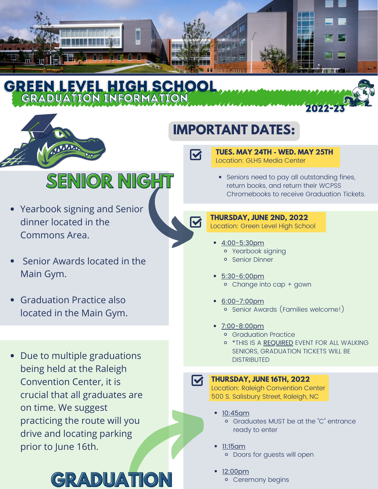

# **IMPORTANT DATES:**

 $\blacktriangledown$ 

 $\blacktriangledown$ 

#### **TUES. MAY 24TH - WED. MAY 25TH** Location: GLHS Media Center

**SENIOR NIGHT**

- Commons Area. dinner located in the Yearbook signing and Senior
- Senior Awards located in the Main Gym.
- Graduation Practice also located in the Main Gym.
- Due to multiple graduations being held at the Raleigh Convention Center, it is crucial that all graduates are on time. We suggest practicing the route will you drive and locating parking prior to June 16th.



• Seniors need to pay all outstanding fines, return books, and return their WCPSS Chromebooks to receive Graduation Tickets.

### **THURSDAY, JUNE 2ND, 2022**

Location: Green Level High School

- 4:00-5:30pm Yearbook signing
	- Senior Dinner
- 5:30-6:00pm Change into cap + gown
- 6:00-7:00pm Senior Awards (Families welcome!)
- 7:00-8:00pm
	- **c** Graduation Practice
	- \*THIS IS A REQUIRED EVENT FOR ALL WALKING SENIORS, GRADUATION TICKETS WILL BE DISTRIBUTED

### $\overline{\mathsf{M}}$

### **THURSDAY, JUNE 16TH, 2022**

Location: Raleigh Convention Center 500 S. Salisbury Street, Raleigh, NC

- 10:45am
	- Graduates MUST be at the "C" entrance ready to enter
	- 11:15am Doors for guests will open
- <u>2:00pm</u> o Ceremony begins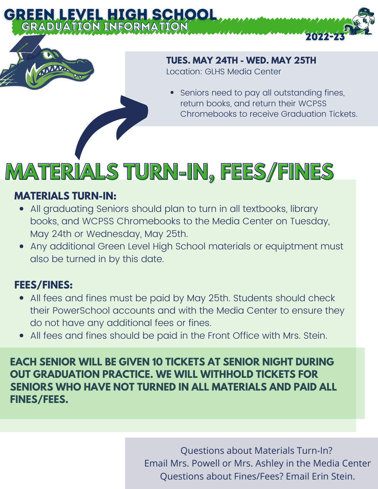## **TUES. MAY 24TH - WED. MAY 25TH**

Location: GLHS Media Center

Seniors need to pay all outstanding fines, return books, and return their WCPSS Chromebooks to receive Graduation Tickets.

20225

# **MATERIALS TURN-IN, FEES/FINES**

## **MATERIALS TURN-IN:**

- All graduating Seniors should plan to turn in all textbooks, library books, and WCPSS Chromebooks to the Media Center on Tuesday, May 24th or Wednesday, May 25th.
- Any additional Green Level High School materials or equiptment must also be turned in by this date.

## **FEES/FINES:**

- All fees and fines must be paid by May 25th. Students should check their PowerSchool accounts and with the Media Center to ensure they do not have any additional fees or fines.
- All fees and fines should be paid in the Front Office with Mrs. Stein.

**EACH SENIOR WILL BE GIVEN 10 TICKETS AT SENIOR NIGHT DURING OUT GRADUATION PRACTICE. WE WILL WITHHOLD TICKETS FOR SENIORS WHO HAVE NOT TURNED IN ALL MATERIALS AND PAID ALL FINES/FEES.**

> Questions about Materials Turn-In? Email Mrs. Powell or Mrs. Ashley in the Media Center Questions about Fines/Fees? Email Erin Stein.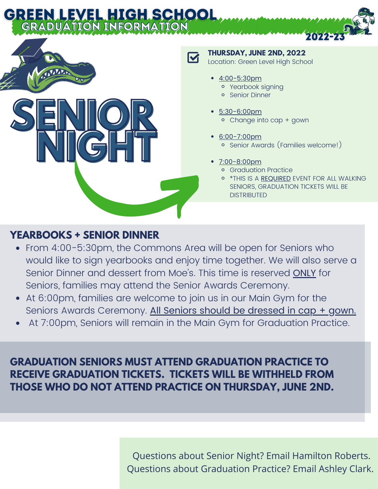# GREEN LEVEL HIGH SCHOOL GRADUATION INFORMATION



**THURSDAY, JUNE 2ND, 2022** Location: Green Level High School

- 4:00-5:30pm Yearbook signing
	- **o** Senior Dinner
- 5:30-6:00pm Change into cap + gown
- 6:00-7:00pm Senior Awards (Families welcome!)
- 7:00-8:00pm
	- Graduation Practice
	- o \*THIS IS A REQUIRED EVENT FOR ALL WALKING SENIORS, GRADUATION TICKETS WILL BE **DISTRIBUTED**

2022-2

## **YEARBOOKS + SENIOR DINNER**

- From 4:00-5:30pm, the Commons Area will be open for Seniors who would like to sign yearbooks and enjoy time together. We will also serve a Senior Dinner and dessert from Moe's. This time is reserved ONLY for Seniors, families may attend the Senior Awards Ceremony.
- At 6:00pm, families are welcome to join us in our Main Gym for the Seniors Awards Ceremony. All Seniors should be dressed in cap + gown.
- At 7:00pm, Seniors will remain in the Main Gym for Graduation Practice.

## **GRADUATION SENIORS MUST ATTEND GRADUATION PRACTICE TO RECEIVE GRADUATION TICKETS. TICKETS WILL BE WITHHELD FROM THOSE WHO DO NOT ATTEND PRACTICE ON THURSDAY, JUNE 2ND.**

Questions about Senior Night? Email Hamilton Roberts. Questions about Graduation Practice? Email Ashley Clark.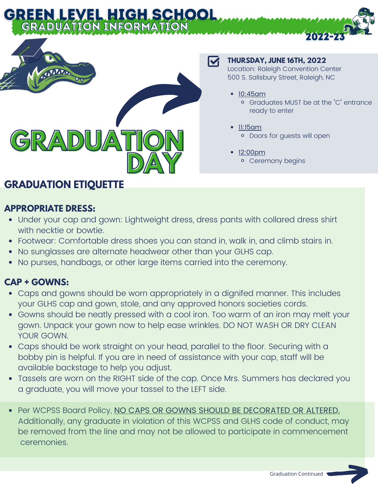

# **GRADUATION ETIQUETTE**

## **APPROPRIATE DRESS:**

- Under your cap and gown: Lightweight dress, dress pants with collared dress shirt with necktie or bowtie.
- Footwear: Comfortable dress shoes you can stand in, walk in, and climb stairs in.
- No sunglasses are alternate headwear other than your GLHS cap.
- No purses, handbags, or other large items carried into the ceremony.

### **CAP + GOWNS:**

- Caps and gowns should be worn appropriately in a dignifed manner. This includes your GLHS cap and gown, stole, and any approved honors societies cords.
- Gowns should be neatly pressed with a cool iron. Too warm of an iron may melt your gown. Unpack your gown now to help ease wrinkles. DO NOT WASH OR DRY CLEAN YOUR GOWN.
- Caps should be work straight on your head, parallel to the floor. Securing with a bobby pin is helpful. If you are in need of assistance with your cap, staff will be available backstage to help you adjust.
- Tassels are worn on the RIGHT side of the cap. Once Mrs. Summers has declared you a graduate, you will move your tassel to the LEFT side.
- Per WCPSS Board Policy, NO CAPS OR GOWNS SHOULD BE DECORATED OR ALTERED. Additionally, any graduate in violation of this WCPSS and GLHS code of conduct, may be removed from the line and may not be allowed to participate in commencement ceremonies.

#### M

### **THURSDAY, JUNE 16TH, 2022**

Location: Raleigh Convention Center 500 S. Salisbury Street, Raleigh, NC

- 10:45am
	- Graduates MUST be at the "C" entrance ready to enter

2022-2

- 11:15am <sup>o</sup> Doors for quests will open
- 12:00pm Ceremony begins

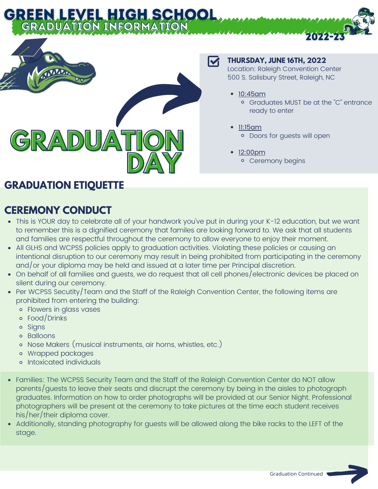

## **GRADUATION ETIQUETTE**

# **CEREMONY CONDUCT**

#### This is YOUR day to celebrate all of your handwork you've put in during your K-12 education, but we want to remember this is a dignified ceremony that familes are looking forward to. We ask that all students and families are respectful throughout the ceremony to allow everyone to enjoy their moment.

- All GLHS and WCPSS policies apply to graduation activities. Violating these policies or causing an intentional disruption to our ceremony may result in being prohibited from participating in the ceremony and/or your diploma may be held and issued at a later time per Principal discretion.
- On behalf of all families and guests, we do request that all cell phones/electronic devices be placed on silent during our ceremony.
- Per WCPSS Secutity/Team and the Staff of the Raleigh Convention Center, the following items are prohibited from entering the building:
	- Flowers in glass vases
	- Food/Drinks
	- o Signs
	- Balloons
	- Nose Makers (musical instruments, air horns, whistles, etc.)
	- Wrapped packages
	- Intoxicated individuals
- Families: The WCPSS Security Team and the Staff of the Raleigh Convention Center do NOT allow parents/guests to leave their seats and discrupt the ceremony by being in the aisles to photograph graduates. Information on how to order photographs will be provided at our Senior Night. Professional photographers will be present at the ceremony to take pictures at the time each student receives his/her/their diploma cover.
- Additionally, standing photography for guests will be allowed along the bike racks to the LEFT of the stage.

#### M

#### **THURSDAY, JUNE 16TH, 2022**

Location: Raleigh Convention Center 500 S. Salisbury Street, Raleigh, NC

- 10:45am
	- Graduates MUST be at the "C" entrance ready to enter

2022-2

- 11:15am <sup>o</sup> Doors for quests will open
- 12:00pm Ceremony begins